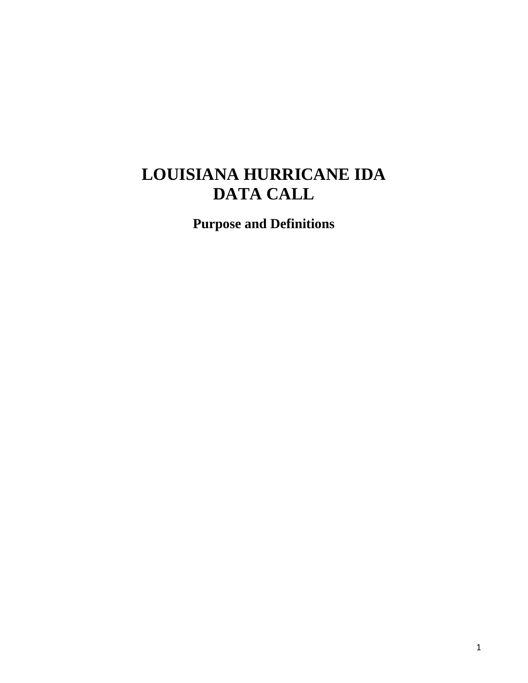## **LOUISIANA HURRICANE IDA DATA CALL**

**Purpose and Definitions**